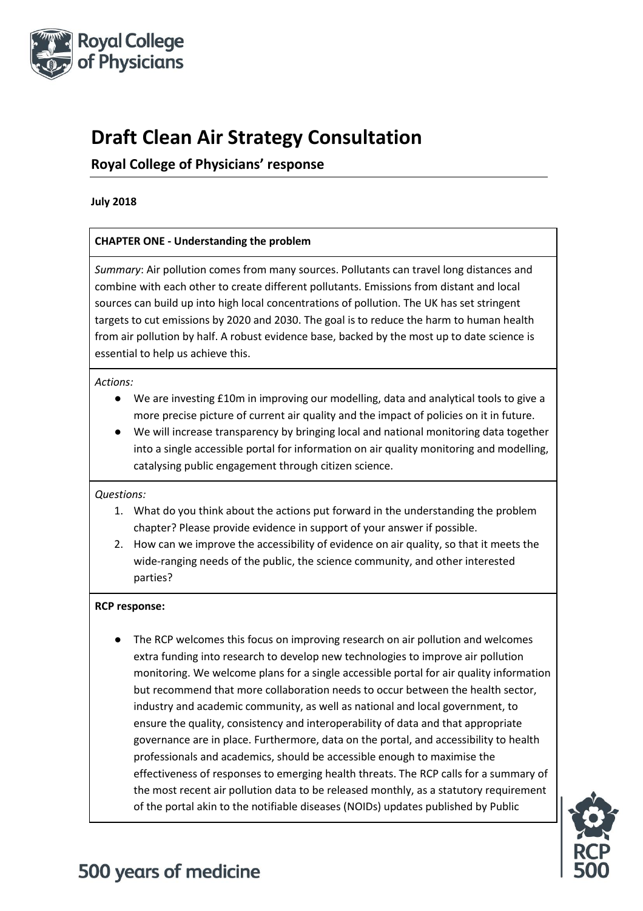

## **Draft Clean Air Strategy Consultation**

### **Royal College of Physicians' response**

#### **July 2018**

### **CHAPTER ONE - Understanding the problem**

*Summary*: Air pollution comes from many sources. Pollutants can travel long distances and combine with each other to create different pollutants. Emissions from distant and local sources can build up into high local concentrations of pollution. The UK has set stringent targets to cut emissions by 2020 and 2030. The goal is to reduce the harm to human health from air pollution by half. A robust evidence base, backed by the most up to date science is essential to help us achieve this.

#### *Actions:*

- We are investing £10m in improving our modelling, data and analytical tools to give a more precise picture of current air quality and the impact of policies on it in future.
- We will increase transparency by bringing local and national monitoring data together into a single accessible portal for information on air quality monitoring and modelling, catalysing public engagement through citizen science.

### *Questions:*

- 1. What do you think about the actions put forward in the understanding the problem chapter? Please provide evidence in support of your answer if possible.
- 2. How can we improve the accessibility of evidence on air quality, so that it meets the wide-ranging needs of the public, the science community, and other interested parties?

### **RCP response:**

The RCP welcomes this focus on improving research on air pollution and welcomes extra funding into research to develop new technologies to improve air pollution monitoring. We welcome plans for a single accessible portal for air quality information but recommend that more collaboration needs to occur between the health sector, industry and academic community, as well as national and local government, to ensure the quality, consistency and interoperability of data and that appropriate governance are in place. Furthermore, data on the portal, and accessibility to health professionals and academics, should be accessible enough to maximise the effectiveness of responses to emerging health threats. The RCP calls for a summary of the most recent air pollution data to be released monthly, as a statutory requirement of the portal akin to the notifiable diseases (NOIDs) updates published by Public

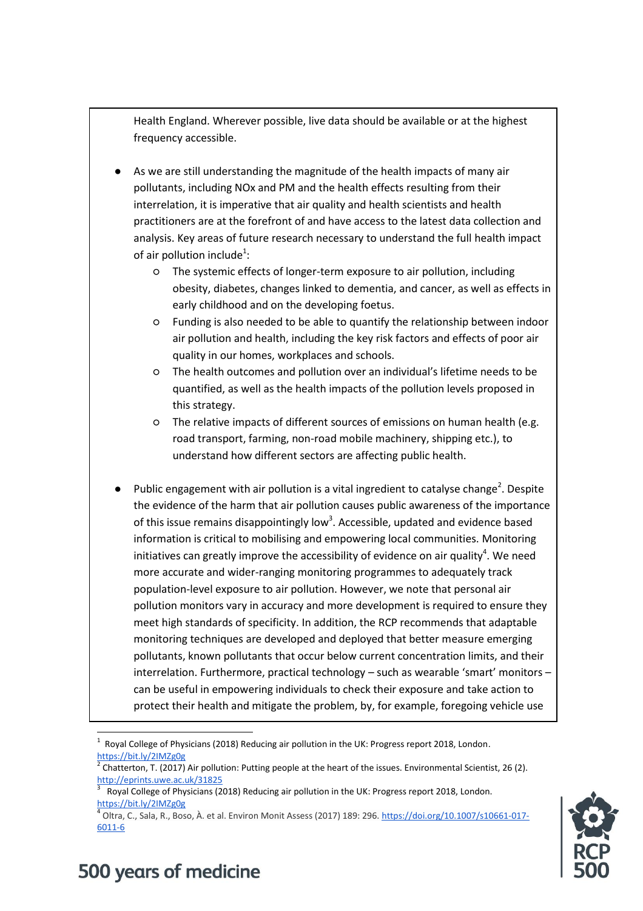Health England. Wherever possible, live data should be available or at the highest frequency accessible.

- As we are still understanding the magnitude of the health impacts of many air pollutants, including NOx and PM and the health effects resulting from their interrelation, it is imperative that air quality and health scientists and health practitioners are at the forefront of and have access to the latest data collection and analysis. Key areas of future research necessary to understand the full health impact of air pollution include $^1$ :
	- The systemic effects of longer-term exposure to air pollution, including obesity, diabetes, changes linked to dementia, and cancer, as well as effects in early childhood and on the developing foetus.
	- Funding is also needed to be able to quantify the relationship between indoor air pollution and health, including the key risk factors and effects of poor air quality in our homes, workplaces and schools.
	- The health outcomes and pollution over an individual's lifetime needs to be quantified, as well as the health impacts of the pollution levels proposed in this strategy.
	- The relative impacts of different sources of emissions on human health (e.g. road transport, farming, non-road mobile machinery, shipping etc.), to understand how different sectors are affecting public health.
- $\bullet$  Public engagement with air pollution is a vital ingredient to catalyse change<sup>2</sup>. Despite the evidence of the harm that air pollution causes public awareness of the importance of this issue remains disappointingly low<sup>3</sup>. Accessible, updated and evidence based information is critical to mobilising and empowering local communities. Monitoring initiatives can greatly improve the accessibility of evidence on air quality<sup>4</sup>. We need more accurate and wider-ranging monitoring programmes to adequately track population-level exposure to air pollution. However, we note that personal air pollution monitors vary in accuracy and more development is required to ensure they meet high standards of specificity. In addition, the RCP recommends that adaptable monitoring techniques are developed and deployed that better measure emerging pollutants, known pollutants that occur below current concentration limits, and their interrelation. Furthermore, practical technology – such as wearable 'smart' monitors – can be useful in empowering individuals to check their exposure and take action to protect their health and mitigate the problem, by, for example, foregoing vehicle use

<sup>4</sup> Oltra, C., Sala, R., Boso, À. et al. Environ Monit Assess (2017) 189: 296[. https://doi.org/10.1007/s10661-017-](https://doi.org/10.1007/s10661-017-6011-6) [6011-6](https://doi.org/10.1007/s10661-017-6011-6)



 $\overline{a}$  $1$  Royal College of Physicians (2018) Reducing air pollution in the UK: Progress report 2018, London. <https://bit.ly/2IMZg0g>

<sup>2</sup> Chatterton, T. (2017) Air pollution: Putting people at the heart of the issues. Environmental Scientist, 26 (2). <http://eprints.uwe.ac.uk/31825>

<sup>3</sup> Royal College of Physicians (2018) Reducing air pollution in the UK: Progress report 2018, London. <https://bit.ly/2IMZg0g>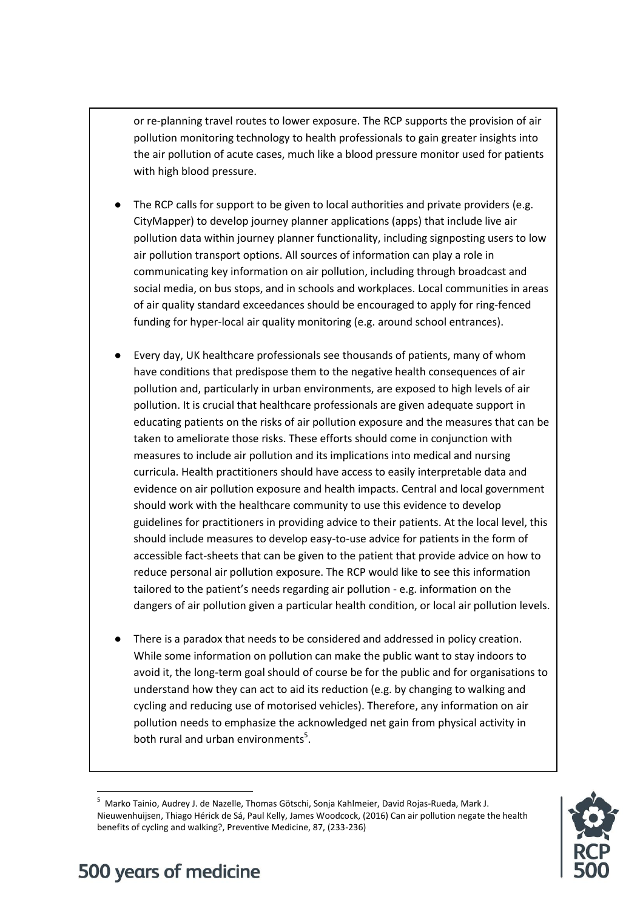or re-planning travel routes to lower exposure. The RCP supports the provision of air pollution monitoring technology to health professionals to gain greater insights into the air pollution of acute cases, much like a blood pressure monitor used for patients with high blood pressure.

- The RCP calls for support to be given to local authorities and private providers (e.g. CityMapper) to develop journey planner applications (apps) that include live air pollution data within journey planner functionality, including signposting users to low air pollution transport options. All sources of information can play a role in communicating key information on air pollution, including through broadcast and social media, on bus stops, and in schools and workplaces. Local communities in areas of air quality standard exceedances should be encouraged to apply for ring-fenced funding for hyper-local air quality monitoring (e.g. around school entrances).
- Every day, UK healthcare professionals see thousands of patients, many of whom have conditions that predispose them to the negative health consequences of air pollution and, particularly in urban environments, are exposed to high levels of air pollution. It is crucial that healthcare professionals are given adequate support in educating patients on the risks of air pollution exposure and the measures that can be taken to ameliorate those risks. These efforts should come in conjunction with measures to include air pollution and its implications into medical and nursing curricula. Health practitioners should have access to easily interpretable data and evidence on air pollution exposure and health impacts. Central and local government should work with the healthcare community to use this evidence to develop guidelines for practitioners in providing advice to their patients. At the local level, this should include measures to develop easy-to-use advice for patients in the form of accessible fact-sheets that can be given to the patient that provide advice on how to reduce personal air pollution exposure. The RCP would like to see this information tailored to the patient's needs regarding air pollution - e.g. information on the dangers of air pollution given a particular health condition, or local air pollution levels.
- There is a paradox that needs to be considered and addressed in policy creation. While some information on pollution can make the public want to stay indoors to avoid it, the long-term goal should of course be for the public and for organisations to understand how they can act to aid its reduction (e.g. by changing to walking and cycling and reducing use of motorised vehicles). Therefore, any information on air pollution needs to emphasize the acknowledged net gain from physical activity in both rural and urban environments<sup>5</sup>.

 $\overline{a}$ <sup>5</sup> Marko Tainio, Audrey J. de Nazelle, Thomas Götschi, Sonja Kahlmeier, David Rojas-Rueda, Mark J. Nieuwenhuijsen, Thiago Hérick de Sá, Paul Kelly, James Woodcock, (2016) Can air pollution negate the health benefits of cycling and walking?, Preventive Medicine, 87, (233-236)

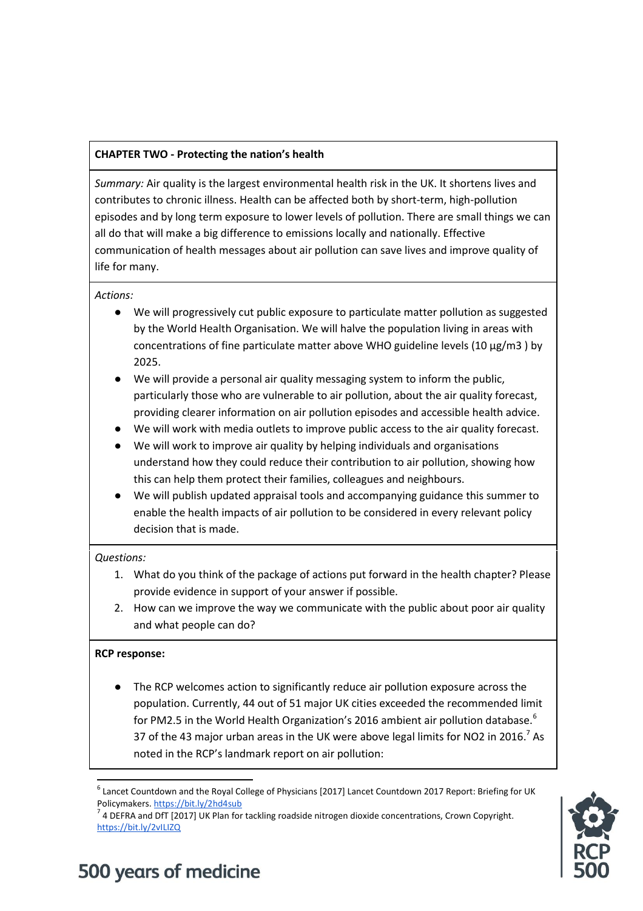### **CHAPTER TWO - Protecting the nation's health**

*Summary:* Air quality is the largest environmental health risk in the UK. It shortens lives and contributes to chronic illness. Health can be affected both by short-term, high-pollution episodes and by long term exposure to lower levels of pollution. There are small things we can all do that will make a big difference to emissions locally and nationally. Effective communication of health messages about air pollution can save lives and improve quality of life for many.

#### *Actions:*

- We will progressively cut public exposure to particulate matter pollution as suggested by the World Health Organisation. We will halve the population living in areas with concentrations of fine particulate matter above WHO guideline levels (10  $\mu$ g/m3 ) by 2025.
- We will provide a personal air quality messaging system to inform the public, particularly those who are vulnerable to air pollution, about the air quality forecast, providing clearer information on air pollution episodes and accessible health advice.
- We will work with media outlets to improve public access to the air quality forecast.
- We will work to improve air quality by helping individuals and organisations understand how they could reduce their contribution to air pollution, showing how this can help them protect their families, colleagues and neighbours.
- We will publish updated appraisal tools and accompanying guidance this summer to enable the health impacts of air pollution to be considered in every relevant policy decision that is made.

### *Questions:*

- 1. What do you think of the package of actions put forward in the health chapter? Please provide evidence in support of your answer if possible.
- 2. How can we improve the way we communicate with the public about poor air quality and what people can do?

### **RCP response:**

● The RCP welcomes action to significantly reduce air pollution exposure across the population. Currently, 44 out of 51 major UK cities exceeded the recommended limit for PM2.5 in the World Health Organization's 2016 ambient air pollution database.<sup>6</sup> 37 of the 43 major urban areas in the UK were above legal limits for NO2 in 2016.<sup>7</sup> As noted in the RCP's landmark report on air pollution:

 $\overline{a}$  $^6$  Lancet Countdown and the Royal College of Physicians [2017] Lancet Countdown 2017 Report: Briefing for UK Policymakers[. https://bit.ly/2hd4sub](https://bit.ly/2hd4sub)



 $^7$  4 DEFRA and DfT [2017] UK Plan for tackling roadside nitrogen dioxide concentrations, Crown Copyright. <https://bit.ly/2vILIZQ>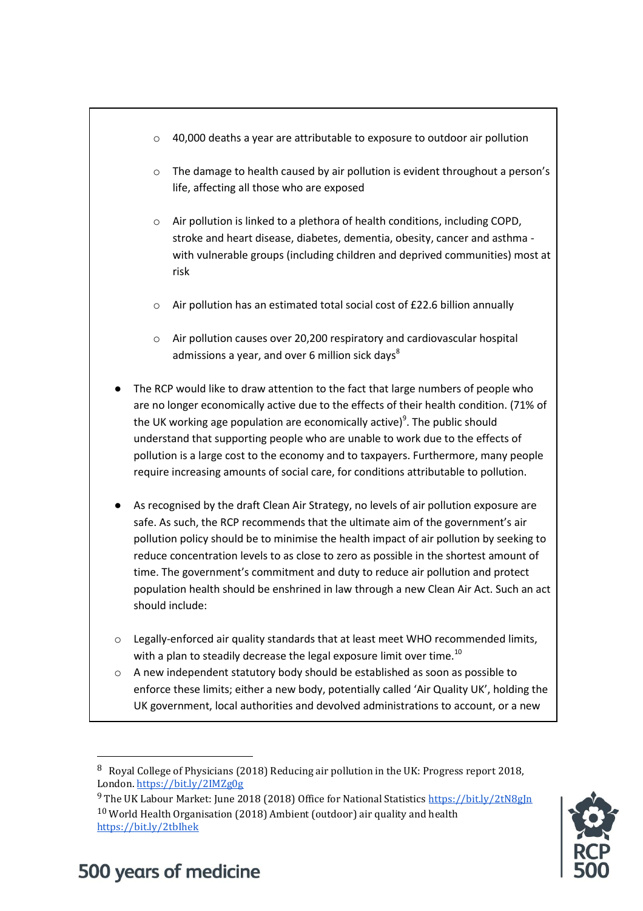- $\circ$  40,000 deaths a year are attributable to exposure to outdoor air pollution
- o The damage to health caused by air pollution is evident throughout a person's life, affecting all those who are exposed
- o Air pollution is linked to a plethora of health conditions, including COPD, stroke and heart disease, diabetes, dementia, obesity, cancer and asthma with vulnerable groups (including children and deprived communities) most at risk
- o Air pollution has an estimated total social cost of £22.6 billion annually
- o Air pollution causes over 20,200 respiratory and cardiovascular hospital admissions a year, and over 6 million sick days $8$
- The RCP would like to draw attention to the fact that large numbers of people who are no longer economically active due to the effects of their health condition. (71% of the UK working age population are economically active)<sup>9</sup>. The public should understand that supporting people who are unable to work due to the effects of pollution is a large cost to the economy and to taxpayers. Furthermore, many people require increasing amounts of social care, for conditions attributable to pollution.
- As recognised by the draft Clean Air Strategy, no levels of air pollution exposure are safe. As such, the RCP recommends that the ultimate aim of the government's air pollution policy should be to minimise the health impact of air pollution by seeking to reduce concentration levels to as close to zero as possible in the shortest amount of time. The government's commitment and duty to reduce air pollution and protect population health should be enshrined in law through a new Clean Air Act. Such an act should include:
- o Legally-enforced air quality standards that at least meet WHO recommended limits, with a plan to steadily decrease the legal exposure limit over time.<sup>10</sup>
- o A new independent statutory body should be established as soon as possible to enforce these limits; either a new body, potentially called 'Air Quality UK', holding the UK government, local authorities and devolved administrations to account, or a new

<sup>&</sup>lt;sup>9</sup> The UK Labour Market: June 2018 (2018) Office for National Statistics https://bit.ly/2tN8gIn 10 World Health Organisation (2018) Ambient (outdoor) air quality and health <https://bit.ly/2tbIhek>



# 500 years of medicine

 $\overline{a}$ 

<sup>8</sup> Royal College of Physicians (2018) Reducing air pollution in the UK: Progress report 2018, London.<https://bit.ly/2IMZg0g>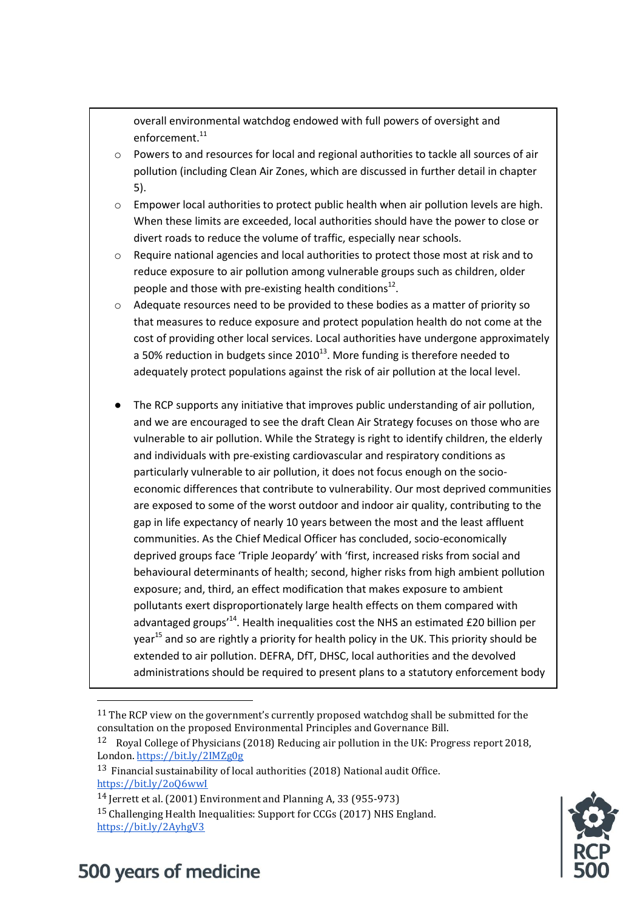overall environmental watchdog endowed with full powers of oversight and enforcement.<sup>11</sup>

- Powers to and resources for local and regional authorities to tackle all sources of air pollution (including Clean Air Zones, which are discussed in further detail in chapter 5).
- o Empower local authorities to protect public health when air pollution levels are high. When these limits are exceeded, local authorities should have the power to close or divert roads to reduce the volume of traffic, especially near schools.
- o Require national agencies and local authorities to protect those most at risk and to reduce exposure to air pollution among vulnerable groups such as children, older people and those with pre-existing health conditions $^{12}$ .
- $\circ$  Adequate resources need to be provided to these bodies as a matter of priority so that measures to reduce exposure and protect population health do not come at the cost of providing other local services. Local authorities have undergone approximately a 50% reduction in budgets since  $2010^{13}$ . More funding is therefore needed to adequately protect populations against the risk of air pollution at the local level.
- The RCP supports any initiative that improves public understanding of air pollution, and we are encouraged to see the draft Clean Air Strategy focuses on those who are vulnerable to air pollution. While the Strategy is right to identify children, the elderly and individuals with pre-existing cardiovascular and respiratory conditions as particularly vulnerable to air pollution, it does not focus enough on the socioeconomic differences that contribute to vulnerability. Our most deprived communities are exposed to some of the worst outdoor and indoor air quality, contributing to the gap in life expectancy of nearly 10 years between the most and the least affluent communities. As the Chief Medical Officer has concluded, socio-economically deprived groups face 'Triple Jeopardy' with 'first, increased risks from social and behavioural determinants of health; second, higher risks from high ambient pollution exposure; and, third, an effect modification that makes exposure to ambient pollutants exert disproportionately large health effects on them compared with advantaged groups<sup>14</sup>. Health inequalities cost the NHS an estimated £20 billion per year<sup>15</sup> and so are rightly a priority for health policy in the UK. This priority should be extended to air pollution. DEFRA, DfT, DHSC, local authorities and the devolved administrations should be required to present plans to a statutory enforcement body



## 500 years of medicine

 $\overline{\phantom{a}}$ 

<sup>&</sup>lt;sup>11</sup> The RCP view on the government's currently proposed watchdog shall be submitted for the consultation on the proposed Environmental Principles and Governance Bill.

<sup>12</sup> Royal College of Physicians (2018) Reducing air pollution in the UK: Progress report 2018, London.<https://bit.ly/2IMZg0g>

<sup>13</sup> Financial sustainability of local authorities (2018) National audit Office. <https://bit.ly/2oQ6wwI>

<sup>14</sup> Jerrett et al. (2001) Environment and Planning A, 33 (955-973)

<sup>15</sup> Challenging Health Inequalities: Support for CCGs (2017) NHS England. <https://bit.ly/2AyhgV3>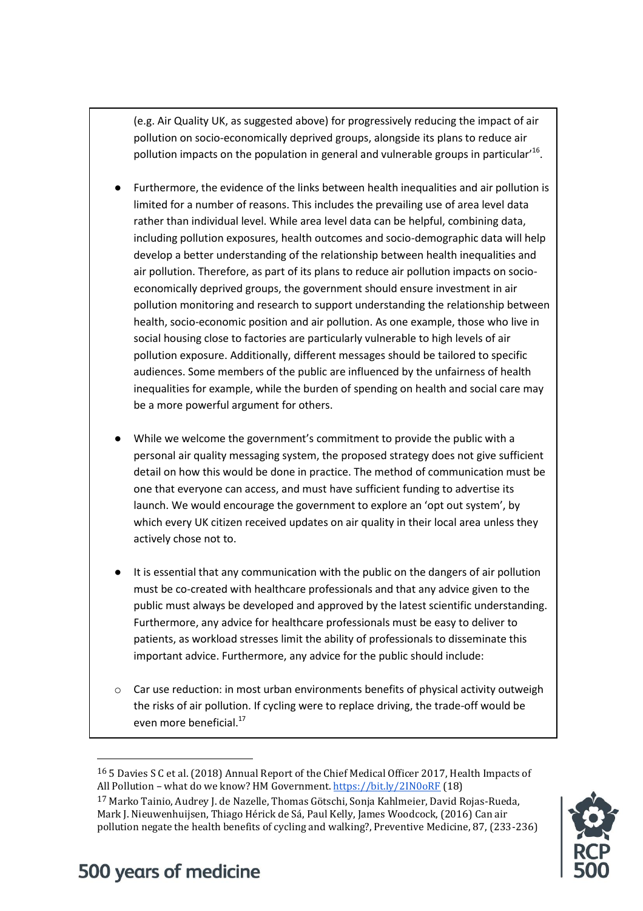(e.g. Air Quality UK, as suggested above) for progressively reducing the impact of air pollution on socio-economically deprived groups, alongside its plans to reduce air pollution impacts on the population in general and vulnerable groups in particular'<sup>16</sup>.

- Furthermore, the evidence of the links between health inequalities and air pollution is limited for a number of reasons. This includes the prevailing use of area level data rather than individual level. While area level data can be helpful, combining data, including pollution exposures, health outcomes and socio-demographic data will help develop a better understanding of the relationship between health inequalities and air pollution. Therefore, as part of its plans to reduce air pollution impacts on socioeconomically deprived groups, the government should ensure investment in air pollution monitoring and research to support understanding the relationship between health, socio-economic position and air pollution. As one example, those who live in social housing close to factories are particularly vulnerable to high levels of air pollution exposure. Additionally, different messages should be tailored to specific audiences. Some members of the public are influenced by the unfairness of health inequalities for example, while the burden of spending on health and social care may be a more powerful argument for others.
- While we welcome the government's commitment to provide the public with a personal air quality messaging system, the proposed strategy does not give sufficient detail on how this would be done in practice. The method of communication must be one that everyone can access, and must have sufficient funding to advertise its launch. We would encourage the government to explore an 'opt out system', by which every UK citizen received updates on air quality in their local area unless they actively chose not to.
- It is essential that any communication with the public on the dangers of air pollution must be co-created with healthcare professionals and that any advice given to the public must always be developed and approved by the latest scientific understanding. Furthermore, any advice for healthcare professionals must be easy to deliver to patients, as workload stresses limit the ability of professionals to disseminate this important advice. Furthermore, any advice for the public should include:
- $\circ$  Car use reduction: in most urban environments benefits of physical activity outweigh the risks of air pollution. If cycling were to replace driving, the trade-off would be even more beneficial.<sup>17</sup>

<sup>17</sup> Marko Tainio, Audrey J. de Nazelle, Thomas Götschi, Sonja Kahlmeier, David Rojas-Rueda, Mark J. Nieuwenhuijsen, Thiago Hérick de Sá, Paul Kelly, James Woodcock, (2016) Can air pollution negate the health benefits of cycling and walking?, Preventive Medicine, 87, (233-236)



## 500 years of medicine

 $\overline{\phantom{a}}$ 

<sup>16</sup> 5 Davies S C et al. (2018) Annual Report of the Chief Medical Officer 2017, Health Impacts of All Pollution - what do we know? HM Government[. https://bit.ly/2IN0oRF](https://bit.ly/2IN0oRF) (18)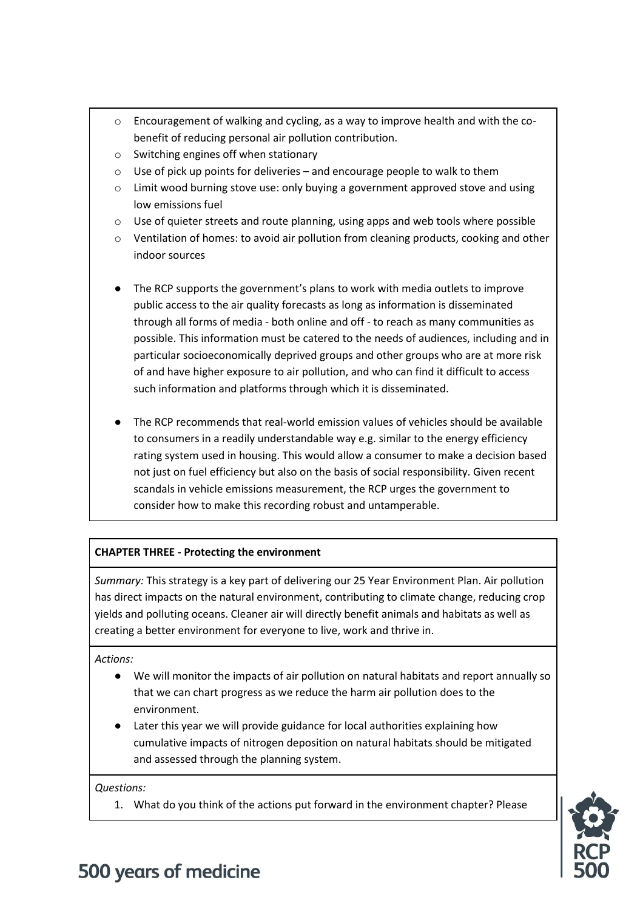- $\circ$  Encouragement of walking and cycling, as a way to improve health and with the cobenefit of reducing personal air pollution contribution.
- o Switching engines off when stationary
- o Use of pick up points for deliveries and encourage people to walk to them
- o Limit wood burning stove use: only buying a government approved stove and using low emissions fuel
- o Use of quieter streets and route planning, using apps and web tools where possible
- o Ventilation of homes: to avoid air pollution from cleaning products, cooking and other indoor sources
- The RCP supports the government's plans to work with media outlets to improve public access to the air quality forecasts as long as information is disseminated through all forms of media - both online and off - to reach as many communities as possible. This information must be catered to the needs of audiences, including and in particular socioeconomically deprived groups and other groups who are at more risk of and have higher exposure to air pollution, and who can find it difficult to access such information and platforms through which it is disseminated.
- The RCP recommends that real-world emission values of vehicles should be available to consumers in a readily understandable way e.g. similar to the energy efficiency rating system used in housing. This would allow a consumer to make a decision based not just on fuel efficiency but also on the basis of social responsibility. Given recent scandals in vehicle emissions measurement, the RCP urges the government to consider how to make this recording robust and untamperable.

### **CHAPTER THREE - Protecting the environment**

*Summary:* This strategy is a key part of delivering our 25 Year Environment Plan. Air pollution has direct impacts on the natural environment, contributing to climate change, reducing crop yields and polluting oceans. Cleaner air will directly benefit animals and habitats as well as creating a better environment for everyone to live, work and thrive in.

*Actions:* 

- We will monitor the impacts of air pollution on natural habitats and report annually so that we can chart progress as we reduce the harm air pollution does to the environment.
- Later this year we will provide guidance for local authorities explaining how cumulative impacts of nitrogen deposition on natural habitats should be mitigated and assessed through the planning system.

*Questions:*

1. What do you think of the actions put forward in the environment chapter? Please

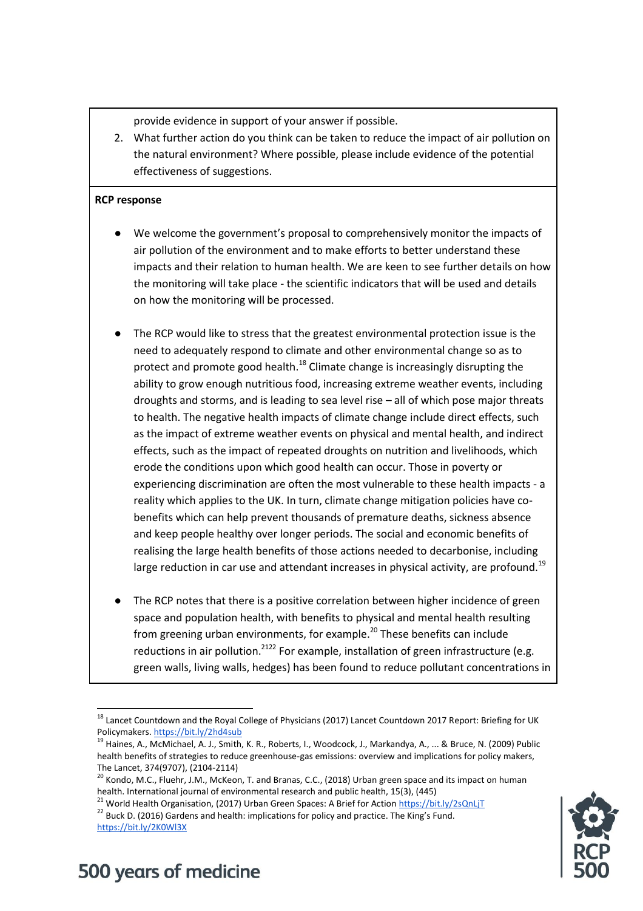provide evidence in support of your answer if possible.

2. What further action do you think can be taken to reduce the impact of air pollution on the natural environment? Where possible, please include evidence of the potential effectiveness of suggestions.

#### **RCP response**

- We welcome the government's proposal to comprehensively monitor the impacts of air pollution of the environment and to make efforts to better understand these impacts and their relation to human health. We are keen to see further details on how the monitoring will take place - the scientific indicators that will be used and details on how the monitoring will be processed.
- The RCP would like to stress that the greatest environmental protection issue is the need to adequately respond to climate and other environmental change so as to protect and promote good health.<sup>18</sup> Climate change is increasingly disrupting the ability to grow enough nutritious food, increasing extreme weather events, including droughts and storms, and is leading to sea level rise – all of which pose major threats to health. The negative health impacts of climate change include direct effects, such as the impact of extreme weather events on physical and mental health, and indirect effects, such as the impact of repeated droughts on nutrition and livelihoods, which erode the conditions upon which good health can occur. Those in poverty or experiencing discrimination are often the most vulnerable to these health impacts - a reality which applies to the UK. In turn, climate change mitigation policies have cobenefits which can help prevent thousands of premature deaths, sickness absence and keep people healthy over longer periods. The social and economic benefits of realising the large health benefits of those actions needed to decarbonise, including large reduction in car use and attendant increases in physical activity, are profound.<sup>19</sup>
- The RCP notes that there is a positive correlation between higher incidence of green space and population health, with benefits to physical and mental health resulting from greening urban environments, for example.<sup>20</sup> These benefits can include reductions in air pollution.<sup>2122</sup> For example, installation of green infrastructure (e.g. green walls, living walls, hedges) has been found to reduce pollutant concentrations in



## 500 years of medicine

 $\overline{\phantom{a}}$ 

<sup>&</sup>lt;sup>18</sup> Lancet Countdown and the Royal College of Physicians (2017) Lancet Countdown 2017 Report: Briefing for UK Policymakers[. https://bit.ly/2hd4sub](https://bit.ly/2hd4sub)

<sup>&</sup>lt;sup>19</sup> Haines, A., McMichael, A. J., Smith, K. R., Roberts, I., Woodcock, J., Markandya, A., ... & Bruce, N. (2009) Public health benefits of strategies to reduce greenhouse-gas emissions: overview and implications for policy makers, The Lancet, 374(9707), (2104-2114)

<sup>&</sup>lt;sup>20</sup> Kondo, M.C., Fluehr, J.M., McKeon, T. and Branas, C.C., (2018) Urban green space and its impact on human health. International journal of environmental research and public health, 15(3), (445)

<sup>&</sup>lt;sup>21</sup> World Health Organisation, (2017) Urban Green Spaces: A Brief for Action<https://bit.ly/2sQnLjT> <sup>22</sup> Buck D. (2016) Gardens and health: implications for policy and practice. The King's Fund. <https://bit.ly/2K0Wl3X>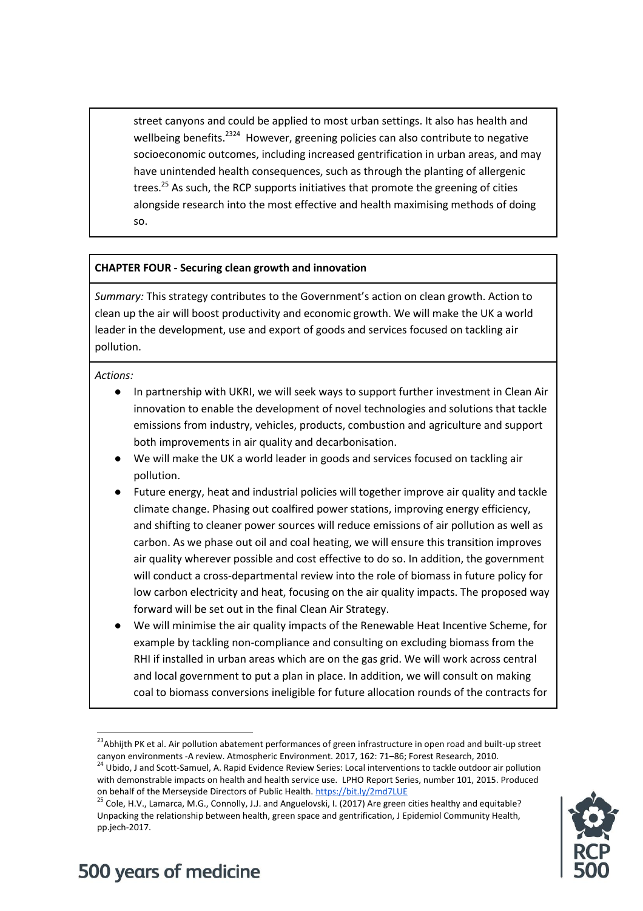street canyons and could be applied to most urban settings. It also has health and wellbeing benefits.<sup>2324</sup> However, greening policies can also contribute to negative socioeconomic outcomes, including increased gentrification in urban areas, and may have unintended health consequences, such as through the planting of allergenic trees.<sup>25</sup> As such, the RCP supports initiatives that promote the greening of cities alongside research into the most effective and health maximising methods of doing so.

### **CHAPTER FOUR - Securing clean growth and innovation**

*Summary:* This strategy contributes to the Government's action on clean growth. Action to clean up the air will boost productivity and economic growth. We will make the UK a world leader in the development, use and export of goods and services focused on tackling air pollution.

*Actions:* 

 $\overline{a}$ 

- In partnership with UKRI, we will seek ways to support further investment in Clean Air innovation to enable the development of novel technologies and solutions that tackle emissions from industry, vehicles, products, combustion and agriculture and support both improvements in air quality and decarbonisation.
- We will make the UK a world leader in goods and services focused on tackling air pollution.
- Future energy, heat and industrial policies will together improve air quality and tackle climate change. Phasing out coalfired power stations, improving energy efficiency, and shifting to cleaner power sources will reduce emissions of air pollution as well as carbon. As we phase out oil and coal heating, we will ensure this transition improves air quality wherever possible and cost effective to do so. In addition, the government will conduct a cross-departmental review into the role of biomass in future policy for low carbon electricity and heat, focusing on the air quality impacts. The proposed way forward will be set out in the final Clean Air Strategy.
- We will minimise the air quality impacts of the Renewable Heat Incentive Scheme, for example by tackling non-compliance and consulting on excluding biomass from the RHI if installed in urban areas which are on the gas grid. We will work across central and local government to put a plan in place. In addition, we will consult on making coal to biomass conversions ineligible for future allocation rounds of the contracts for

<sup>&</sup>lt;sup>25</sup> Cole, H.V., Lamarca, M.G., Connolly, J.J. and Anguelovski, I. (2017) Are green cities healthy and equitable? Unpacking the relationship between health, green space and gentrification, J Epidemiol Community Health, pp.jech-2017.



<sup>&</sup>lt;sup>23</sup>Abhijth PK et al. Air pollution abatement performances of green infrastructure in open road and built-up street canyon environments -A review. Atmospheric Environment. 2017, 162: 71–86; Forest Research, 2010.

<sup>&</sup>lt;sup>24</sup> Ubido, J and Scott-Samuel, A. Rapid Evidence Review Series: Local interventions to tackle outdoor air pollution with demonstrable impacts on health and health service use. LPHO Report Series, number 101, 2015. Produced on behalf of the Merseyside Directors of Public Health.<https://bit.ly/2md7LUE>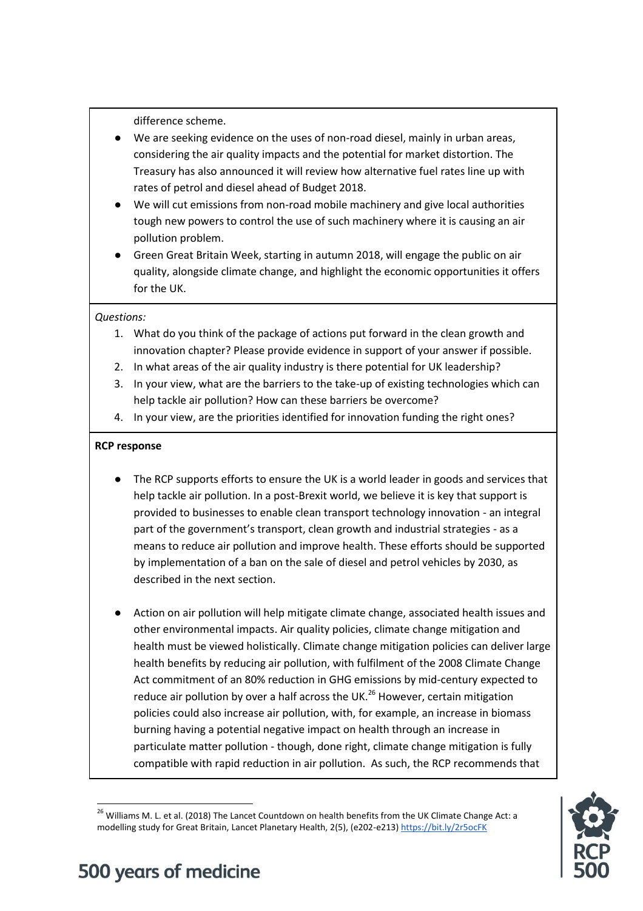difference scheme.

- We are seeking evidence on the uses of non-road diesel, mainly in urban areas, considering the air quality impacts and the potential for market distortion. The Treasury has also announced it will review how alternative fuel rates line up with rates of petrol and diesel ahead of Budget 2018.
- We will cut emissions from non-road mobile machinery and give local authorities tough new powers to control the use of such machinery where it is causing an air pollution problem.
- Green Great Britain Week, starting in autumn 2018, will engage the public on air quality, alongside climate change, and highlight the economic opportunities it offers for the UK.

#### *Questions:*

- 1. What do you think of the package of actions put forward in the clean growth and innovation chapter? Please provide evidence in support of your answer if possible.
- 2. In what areas of the air quality industry is there potential for UK leadership?
- 3. In your view, what are the barriers to the take-up of existing technologies which can help tackle air pollution? How can these barriers be overcome?
- 4. In your view, are the priorities identified for innovation funding the right ones?

### **RCP response**

- The RCP supports efforts to ensure the UK is a world leader in goods and services that help tackle air pollution. In a post-Brexit world, we believe it is key that support is provided to businesses to enable clean transport technology innovation - an integral part of the government's transport, clean growth and industrial strategies - as a means to reduce air pollution and improve health. These efforts should be supported by implementation of a ban on the sale of diesel and petrol vehicles by 2030, as described in the next section.
- Action on air pollution will help mitigate climate change, associated health issues and other environmental impacts. Air quality policies, climate change mitigation and health must be viewed holistically. Climate change mitigation policies can deliver large health benefits by reducing air pollution, with fulfilment of the 2008 Climate Change Act commitment of an 80% reduction in GHG emissions by mid-century expected to reduce air pollution by over a half across the UK.<sup>26</sup> However, certain mitigation policies could also increase air pollution, with, for example, an increase in biomass burning having a potential negative impact on health through an increase in particulate matter pollution - though, done right, climate change mitigation is fully compatible with rapid reduction in air pollution. As such, the RCP recommends that

 $\overline{\phantom{a}}$ <sup>26</sup> Williams M. L. et al. (2018) The Lancet Countdown on health benefits from the UK Climate Change Act: a modelling study for Great Britain, Lancet Planetary Health, 2(5), (e202-e213[\) https://bit.ly/2r5ocFK](https://bit.ly/2r5ocFK)

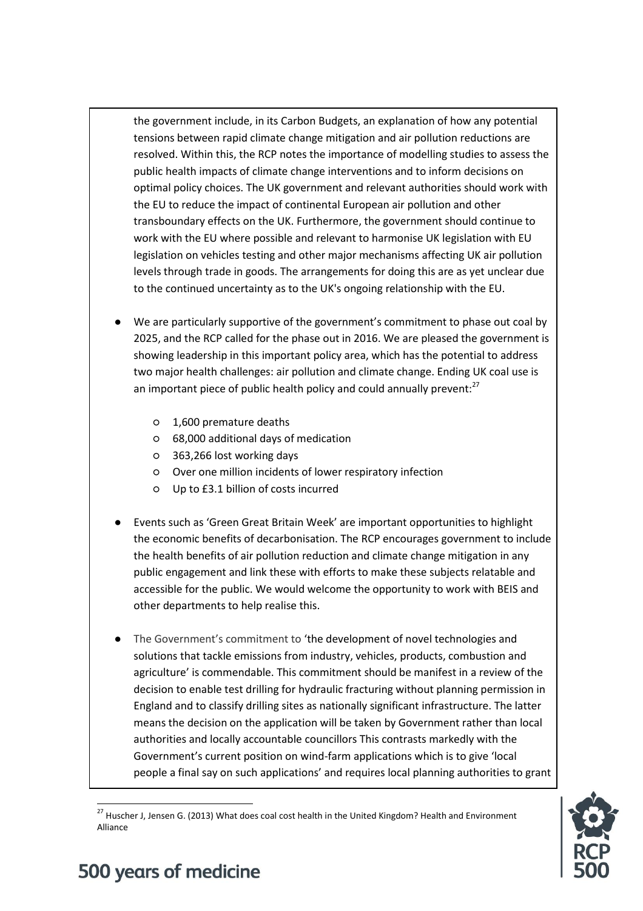the government include, in its Carbon Budgets, an explanation of how any potential tensions between rapid climate change mitigation and air pollution reductions are resolved. Within this, the RCP notes the importance of modelling studies to assess the public health impacts of climate change interventions and to inform decisions on optimal policy choices. The UK government and relevant authorities should work with the EU to reduce the impact of continental European air pollution and other transboundary effects on the UK. Furthermore, the government should continue to work with the EU where possible and relevant to harmonise UK legislation with EU legislation on vehicles testing and other major mechanisms affecting UK air pollution levels through trade in goods. The arrangements for doing this are as yet unclear due to the continued uncertainty as to the UK's ongoing relationship with the EU.

- We are particularly supportive of the government's commitment to phase out coal by 2025, and the RCP called for the phase out in 2016. We are pleased the government is showing leadership in this important policy area, which has the potential to address two major health challenges: air pollution and climate change. Ending UK coal use is an important piece of public health policy and could annually prevent: $27$ 
	- 1,600 premature deaths
	- 68,000 additional days of medication
	- 363,266 lost working days
	- Over one million incidents of lower respiratory infection
	- Up to £3.1 billion of costs incurred
- Events such as 'Green Great Britain Week' are important opportunities to highlight the economic benefits of decarbonisation. The RCP encourages government to include the health benefits of air pollution reduction and climate change mitigation in any public engagement and link these with efforts to make these subjects relatable and accessible for the public. We would welcome the opportunity to work with BEIS and other departments to help realise this.
- The Government's commitment to 'the development of novel technologies and solutions that tackle emissions from industry, vehicles, products, combustion and agriculture' is commendable. This commitment should be manifest in a review of the decision to enable test drilling for hydraulic fracturing without planning permission in England and to classify drilling sites as nationally significant infrastructure. The latter means the decision on the application will be taken by Government rather than local authorities and locally accountable councillors This contrasts markedly with the Government's current position on wind-farm applications which is to give 'local people a final say on such applications' and requires local planning authorities to grant



 $\overline{\phantom{a}}$ <sup>27</sup> Huscher J, Jensen G. (2013) What does coal cost health in the United Kingdom? Health and Environment Alliance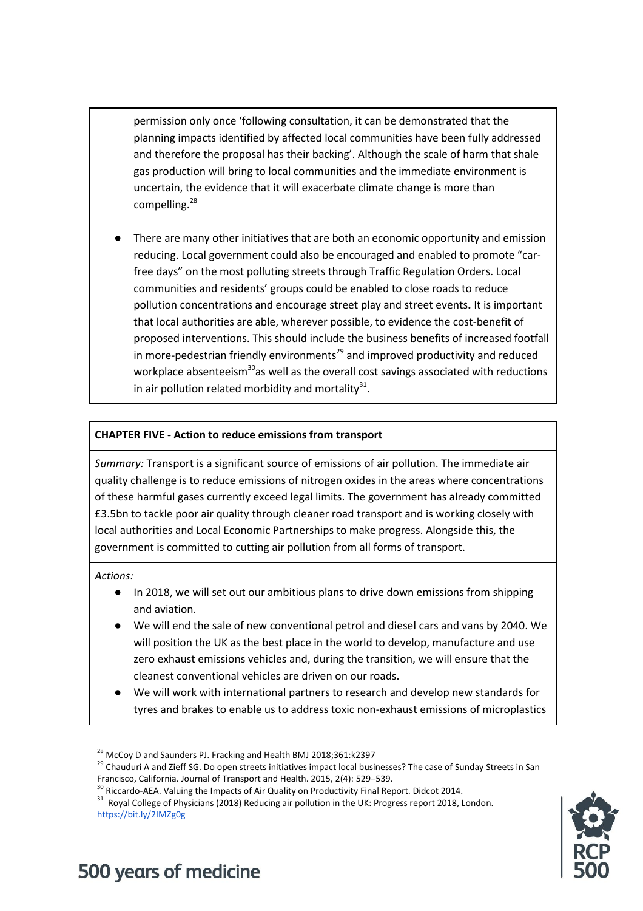permission only once 'following consultation, it can be demonstrated that the planning impacts identified by affected local communities have been fully addressed and therefore the proposal has their backing'. Although the scale of harm that shale gas production will bring to local communities and the immediate environment is uncertain, the evidence that it will exacerbate climate change is more than compelling.<sup>28</sup>

There are many other initiatives that are both an economic opportunity and emission reducing. Local government could also be encouraged and enabled to promote "carfree days" on the most polluting streets through Traffic Regulation Orders. Local communities and residents' groups could be enabled to close roads to reduce pollution concentrations and encourage street play and street events**.** It is important that local authorities are able, wherever possible, to evidence the cost-benefit of proposed interventions. This should include the business benefits of increased footfall in more-pedestrian friendly environments<sup>29</sup> and improved productivity and reduced workplace absenteeism<sup>30</sup>as well as the overall cost savings associated with reductions in air pollution related morbidity and mortality $^{31}$ .

### **CHAPTER FIVE - Action to reduce emissions from transport**

*Summary:* Transport is a significant source of emissions of air pollution. The immediate air quality challenge is to reduce emissions of nitrogen oxides in the areas where concentrations of these harmful gases currently exceed legal limits. The government has already committed £3.5bn to tackle poor air quality through cleaner road transport and is working closely with local authorities and Local Economic Partnerships to make progress. Alongside this, the government is committed to cutting air pollution from all forms of transport.

*Actions:* 

- In 2018, we will set out our ambitious plans to drive down emissions from shipping and aviation.
- We will end the sale of new conventional petrol and diesel cars and vans by 2040. We will position the UK as the best place in the world to develop, manufacture and use zero exhaust emissions vehicles and, during the transition, we will ensure that the cleanest conventional vehicles are driven on our roads.
- We will work with international partners to research and develop new standards for tyres and brakes to enable us to address toxic non-exhaust emissions of microplastics



 $\overline{\phantom{a}}$ <sup>28</sup> McCoy D and Saunders PJ. Fracking and Health BMJ 2018;361:k2397

<sup>&</sup>lt;sup>29</sup> Chauduri A and Zieff SG. Do open streets initiatives impact local businesses? The case of Sunday Streets in San Francisco, California. Journal of Transport and Health. 2015, 2(4): 529–539.

<sup>&</sup>lt;sup>30</sup> Riccardo-AEA. Valuing the Impacts of Air Quality on Productivity Final Report. Didcot 2014.

 $31$  Royal College of Physicians (2018) Reducing air pollution in the UK: Progress report 2018, London. <https://bit.ly/2IMZg0g>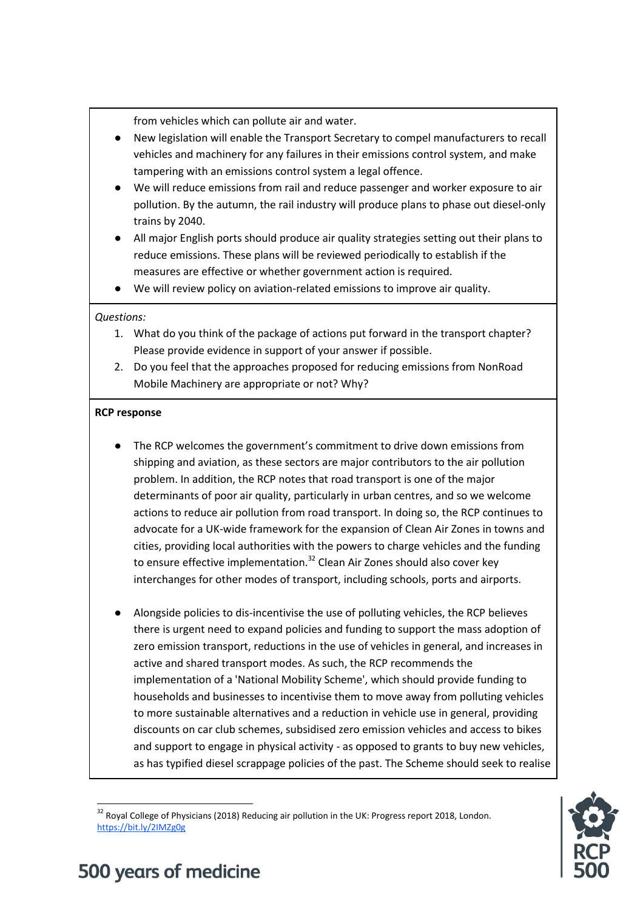from vehicles which can pollute air and water.

- New legislation will enable the Transport Secretary to compel manufacturers to recall vehicles and machinery for any failures in their emissions control system, and make tampering with an emissions control system a legal offence.
- We will reduce emissions from rail and reduce passenger and worker exposure to air pollution. By the autumn, the rail industry will produce plans to phase out diesel-only trains by 2040.
- All major English ports should produce air quality strategies setting out their plans to reduce emissions. These plans will be reviewed periodically to establish if the measures are effective or whether government action is required.
- We will review policy on aviation-related emissions to improve air quality.

### *Questions:*

- 1. What do you think of the package of actions put forward in the transport chapter? Please provide evidence in support of your answer if possible.
- 2. Do you feel that the approaches proposed for reducing emissions from NonRoad Mobile Machinery are appropriate or not? Why?

### **RCP response**

- The RCP welcomes the government's commitment to drive down emissions from shipping and aviation, as these sectors are major contributors to the air pollution problem. In addition, the RCP notes that road transport is one of the major determinants of poor air quality, particularly in urban centres, and so we welcome actions to reduce air pollution from road transport. In doing so, the RCP continues to advocate for a UK-wide framework for the expansion of Clean Air Zones in towns and cities, providing local authorities with the powers to charge vehicles and the funding to ensure effective implementation.<sup>32</sup> Clean Air Zones should also cover key interchanges for other modes of transport, including schools, ports and airports.
- Alongside policies to dis-incentivise the use of polluting vehicles, the RCP believes there is urgent need to expand policies and funding to support the mass adoption of zero emission transport, reductions in the use of vehicles in general, and increases in active and shared transport modes. As such, the RCP recommends the implementation of a 'National Mobility Scheme', which should provide funding to households and businesses to incentivise them to move away from polluting vehicles to more sustainable alternatives and a reduction in vehicle use in general, providing discounts on car club schemes, subsidised zero emission vehicles and access to bikes and support to engage in physical activity - as opposed to grants to buy new vehicles, as has typified diesel scrappage policies of the past. The Scheme should seek to realise



 $\overline{\phantom{a}}$ <sup>32</sup> Royal College of Physicians (2018) Reducing air pollution in the UK: Progress report 2018, London. <https://bit.ly/2IMZg0g>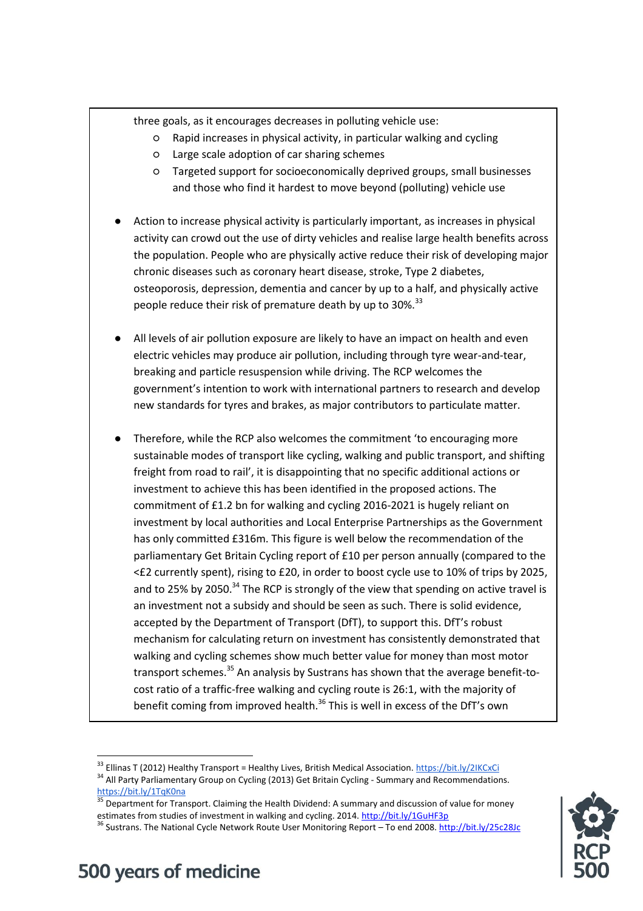three goals, as it encourages decreases in polluting vehicle use:

- Rapid increases in physical activity, in particular walking and cycling
- Large scale adoption of car sharing schemes
- Targeted support for socioeconomically deprived groups, small businesses and those who find it hardest to move beyond (polluting) vehicle use
- Action to increase physical activity is particularly important, as increases in physical activity can crowd out the use of dirty vehicles and realise large health benefits across the population. People who are physically active reduce their risk of developing major chronic diseases such as coronary heart disease, stroke, Type 2 diabetes, osteoporosis, depression, dementia and cancer by up to a half, and physically active people reduce their risk of premature death by up to 30%.<sup>33</sup>
- All levels of air pollution exposure are likely to have an impact on health and even electric vehicles may produce air pollution, including through tyre wear-and-tear, breaking and particle resuspension while driving. The RCP welcomes the government's intention to work with international partners to research and develop new standards for tyres and brakes, as major contributors to particulate matter.
- Therefore, while the RCP also welcomes the commitment 'to encouraging more sustainable modes of transport like cycling, walking and public transport, and shifting freight from road to rail', it is disappointing that no specific additional actions or investment to achieve this has been identified in the proposed actions. The commitment of £1.2 bn for walking and cycling 2016-2021 is hugely reliant on investment by local authorities and Local Enterprise Partnerships as the Government has only committed £316m. This figure is well below the recommendation of the parliamentary Get Britain Cycling report of £10 per person annually (compared to the <£2 currently spent), rising to £20, in order to boost cycle use to 10% of trips by 2025, and to 25% by 2050.<sup>34</sup> The RCP is strongly of the view that spending on active travel is an investment not a subsidy and should be seen as such. There is solid evidence, accepted by the Department of Transport (DfT), to support this. DfT's robust mechanism for calculating return on investment has consistently demonstrated that walking and cycling schemes show much better value for money than most motor transport schemes.<sup>35</sup> An analysis by Sustrans has shown that the average benefit-tocost ratio of a traffic-free walking and cycling route is 26:1, with the majority of benefit coming from improved health.<sup>36</sup> This is well in excess of the DfT's own

<sup>&</sup>lt;sup>36</sup> Sustrans. The National Cycle Network Route User Monitoring Report – To end 2008[. http://bit.ly/25c28Jc](http://bit.ly/25c28Jc)



 $\overline{\phantom{a}}$ <sup>33</sup> Ellinas T (2012) Healthy Transport = Healthy Lives, British Medical Association.<https://bit.ly/2IKCxCi> <sup>34</sup> All Party Parliamentary Group on Cycling (2013) Get Britain Cycling - Summary and Recommendations. <https://bit.ly/1TqK0na>

<sup>35</sup> Department for Transport. Claiming the Health Dividend: A summary and discussion of value for money estimates from studies of investment in walking and cycling. 2014[. http://bit.ly/1GuHF3p](http://bit.ly/1GuHF3p)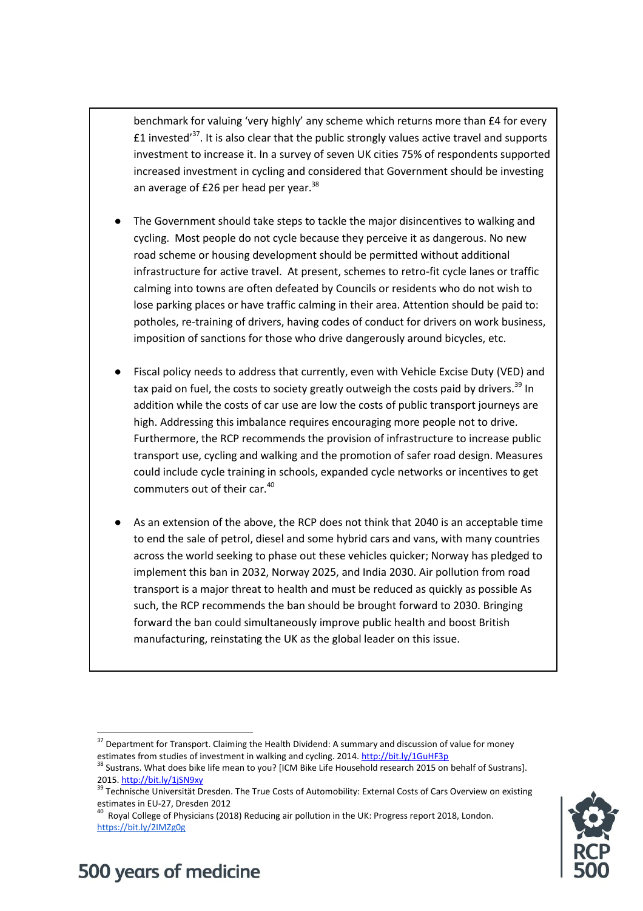benchmark for valuing 'very highly' any scheme which returns more than £4 for every  $\pm 1$  invested<sup>37</sup>. It is also clear that the public strongly values active travel and supports investment to increase it. In a survey of seven UK cities 75% of respondents supported increased investment in cycling and considered that Government should be investing an average of £26 per head per year. $38$ 

- The Government should take steps to tackle the major disincentives to walking and cycling. Most people do not cycle because they perceive it as dangerous. No new road scheme or housing development should be permitted without additional infrastructure for active travel. At present, schemes to retro-fit cycle lanes or traffic calming into towns are often defeated by Councils or residents who do not wish to lose parking places or have traffic calming in their area. Attention should be paid to: potholes, re-training of drivers, having codes of conduct for drivers on work business, imposition of sanctions for those who drive dangerously around bicycles, etc.
- Fiscal policy needs to address that currently, even with Vehicle Excise Duty (VED) and tax paid on fuel, the costs to society greatly outweigh the costs paid by drivers.<sup>39</sup> In addition while the costs of car use are low the costs of public transport journeys are high. Addressing this imbalance requires encouraging more people not to drive. Furthermore, the RCP recommends the provision of infrastructure to increase public transport use, cycling and walking and the promotion of safer road design. Measures could include cycle training in schools, expanded cycle networks or incentives to get commuters out of their car.<sup>40</sup>
- As an extension of the above, the RCP does not think that 2040 is an acceptable time to end the sale of petrol, diesel and some hybrid cars and vans, with many countries across the world seeking to phase out these vehicles quicker; Norway has pledged to implement this ban in 2032, Norway 2025, and India 2030. Air pollution from road transport is a major threat to health and must be reduced as quickly as possible As such, the RCP recommends the ban should be brought forward to 2030. Bringing forward the ban could simultaneously improve public health and boost British manufacturing, reinstating the UK as the global leader on this issue.



## 500 years of medicine

 $\overline{a}$ 

<sup>&</sup>lt;sup>37</sup> Department for Transport. Claiming the Health Dividend: A summary and discussion of value for money estimates from studies of investment in walking and cycling. 2014[. http://bit.ly/1GuHF3p](http://bit.ly/1GuHF3p)

<sup>&</sup>lt;sup>38</sup> Sustrans. What does bike life mean to you? [ICM Bike Life Household research 2015 on behalf of Sustrans]. 2015[. http://bit.ly/1jSN9xy](http://bit.ly/1jSN9xy)

<sup>&</sup>lt;sup>39</sup> Technische Universität Dresden. The True Costs of Automobility: External Costs of Cars Overview on existing estimates in EU-27, Dresden 2012

<sup>&</sup>lt;sup>40</sup> Royal College of Physicians (2018) Reducing air pollution in the UK: Progress report 2018, London. <https://bit.ly/2IMZg0g>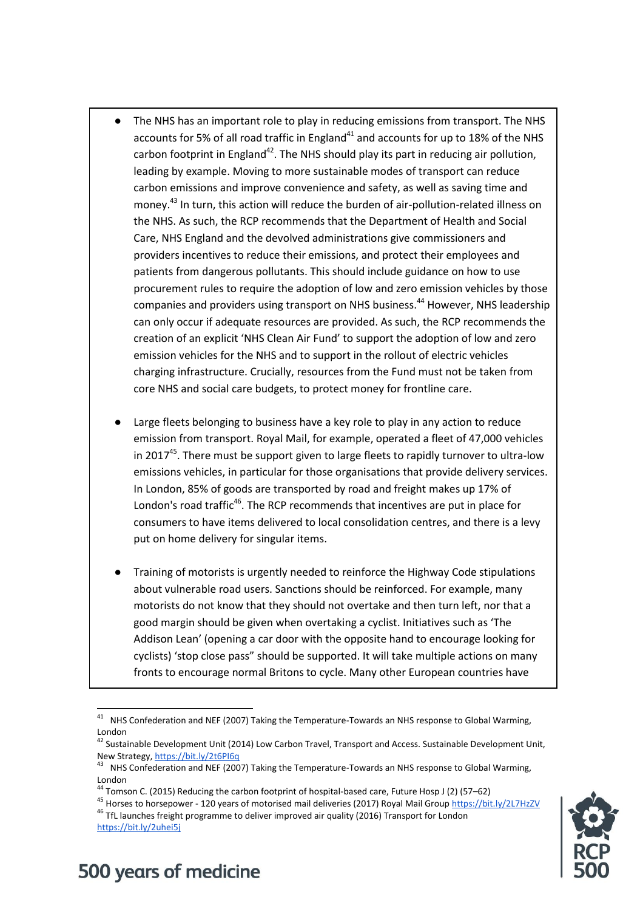- The NHS has an important role to play in reducing emissions from transport. The NHS accounts for 5% of all road traffic in England<sup>41</sup> and accounts for up to 18% of the NHS carbon footprint in England $42$ . The NHS should play its part in reducing air pollution, leading by example. Moving to more sustainable modes of transport can reduce carbon emissions and improve convenience and safety, as well as saving time and money.<sup>43</sup> In turn, this action will reduce the burden of air-pollution-related illness on the NHS. As such, the RCP recommends that the Department of Health and Social Care, NHS England and the devolved administrations give commissioners and providers incentives to reduce their emissions, and protect their employees and patients from dangerous pollutants. This should include guidance on how to use procurement rules to require the adoption of low and zero emission vehicles by those companies and providers using transport on NHS business.<sup>44</sup> However, NHS leadership can only occur if adequate resources are provided. As such, the RCP recommends the creation of an explicit 'NHS Clean Air Fund' to support the adoption of low and zero emission vehicles for the NHS and to support in the rollout of electric vehicles charging infrastructure. Crucially, resources from the Fund must not be taken from core NHS and social care budgets, to protect money for frontline care.
- Large fleets belonging to business have a key role to play in any action to reduce emission from transport. Royal Mail, for example, operated a fleet of 47,000 vehicles in 2017<sup>45</sup>. There must be support given to large fleets to rapidly turnover to ultra-low emissions vehicles, in particular for those organisations that provide delivery services. In London, 85% of goods are transported by road and freight makes up 17% of London's road traffic<sup>46</sup>. The RCP recommends that incentives are put in place for consumers to have items delivered to local consolidation centres, and there is a levy put on home delivery for singular items.
- Training of motorists is urgently needed to reinforce the Highway Code stipulations about vulnerable road users. Sanctions should be reinforced. For example, many motorists do not know that they should not overtake and then turn left, nor that a good margin should be given when overtaking a cyclist. Initiatives such as 'The Addison Lean' (opening a car door with the opposite hand to encourage looking for cyclists) 'stop close pass" should be supported. It will take multiple actions on many fronts to encourage normal Britons to cycle. Many other European countries have

<sup>45</sup> Horses to horsepower - 120 years of motorised mail deliveries (2017) Royal Mail Grou[p https://bit.ly/2L7HzZV](https://bit.ly/2L7HzZV) <sup>46</sup> TfL launches freight programme to deliver improved air quality (2016) Transport for London



 41 NHS Confederation and NEF (2007) Taking the Temperature-Towards an NHS response to Global Warming, London

<sup>&</sup>lt;sup>42</sup> Sustainable Development Unit (2014) Low Carbon Travel, Transport and Access. Sustainable Development Unit, New Strategy[, https://bit.ly/2t6PI6q](https://bit.ly/2t6PI6q)

<sup>43</sup> NHS Confederation and NEF (2007) Taking the Temperature-Towards an NHS response to Global Warming, London

<sup>44</sup> Tomson C. (2015) Reducing the carbon footprint of hospital-based care, Future Hosp J (2) (57–62)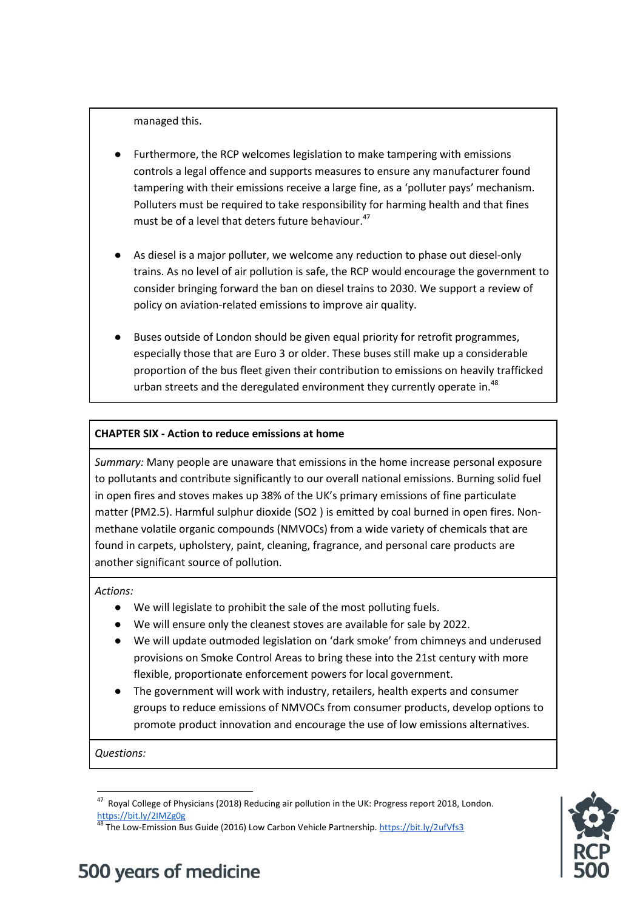managed this.

- Furthermore, the RCP welcomes legislation to make tampering with emissions controls a legal offence and supports measures to ensure any manufacturer found tampering with their emissions receive a large fine, as a 'polluter pays' mechanism. Polluters must be required to take responsibility for harming health and that fines must be of a level that deters future behaviour. 47
- As diesel is a major polluter, we welcome any reduction to phase out diesel-only trains. As no level of air pollution is safe, the RCP would encourage the government to consider bringing forward the ban on diesel trains to 2030. We support a review of policy on aviation-related emissions to improve air quality.
- Buses outside of London should be given equal priority for retrofit programmes, especially those that are Euro 3 or older. These buses still make up a considerable proportion of the bus fleet given their contribution to emissions on heavily trafficked urban streets and the deregulated environment they currently operate in.<sup>48</sup>

### **CHAPTER SIX - Action to reduce emissions at home**

*Summary:* Many people are unaware that emissions in the home increase personal exposure to pollutants and contribute significantly to our overall national emissions. Burning solid fuel in open fires and stoves makes up 38% of the UK's primary emissions of fine particulate matter (PM2.5). Harmful sulphur dioxide (SO2 ) is emitted by coal burned in open fires. Nonmethane volatile organic compounds (NMVOCs) from a wide variety of chemicals that are found in carpets, upholstery, paint, cleaning, fragrance, and personal care products are another significant source of pollution.

*Actions:* 

- We will legislate to prohibit the sale of the most polluting fuels.
- We will ensure only the cleanest stoves are available for sale by 2022.
- We will update outmoded legislation on 'dark smoke' from chimneys and underused provisions on Smoke Control Areas to bring these into the 21st century with more flexible, proportionate enforcement powers for local government.
- The government will work with industry, retailers, health experts and consumer groups to reduce emissions of NMVOCs from consumer products, develop options to promote product innovation and encourage the use of low emissions alternatives.

*Questions:*

<sup>48</sup> The Low-Emission Bus Guide (2016) Low Carbon Vehicle Partnership.<https://bit.ly/2ufVfs3>



 47 Royal College of Physicians (2018) Reducing air pollution in the UK: Progress report 2018, London. <https://bit.ly/2IMZg0g>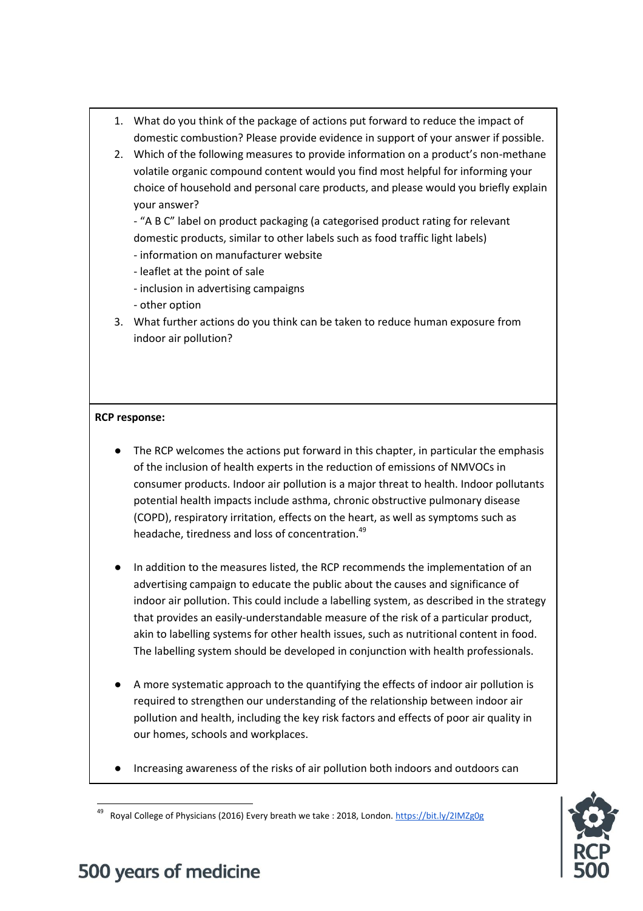- 1. What do you think of the package of actions put forward to reduce the impact of domestic combustion? Please provide evidence in support of your answer if possible.
- 2. Which of the following measures to provide information on a product's non-methane volatile organic compound content would you find most helpful for informing your choice of household and personal care products, and please would you briefly explain your answer?

- "A B C" label on product packaging (a categorised product rating for relevant domestic products, similar to other labels such as food traffic light labels)

- information on manufacturer website
- leaflet at the point of sale
- inclusion in advertising campaigns
- other option
- 3. What further actions do you think can be taken to reduce human exposure from indoor air pollution?

### **RCP response:**

- The RCP welcomes the actions put forward in this chapter, in particular the emphasis of the inclusion of health experts in the reduction of emissions of NMVOCs in consumer products. Indoor air pollution is a major threat to health. Indoor pollutants potential health impacts include asthma, chronic obstructive pulmonary disease (COPD), respiratory irritation, effects on the heart, as well as symptoms such as headache, tiredness and loss of concentration.<sup>49</sup>
- In addition to the measures listed, the RCP recommends the implementation of an advertising campaign to educate the public about the causes and significance of indoor air pollution. This could include a labelling system, as described in the strategy that provides an easily-understandable measure of the risk of a particular product, akin to labelling systems for other health issues, such as nutritional content in food. The labelling system should be developed in conjunction with health professionals.
- A more systematic approach to the quantifying the effects of indoor air pollution is required to strengthen our understanding of the relationship between indoor air pollution and health, including the key risk factors and effects of poor air quality in our homes, schools and workplaces.
- Increasing awareness of the risks of air pollution both indoors and outdoors can



## 500 years of medicine

 $\overline{\phantom{a}}$ 

<sup>49</sup> Royal College of Physicians (2016) Every breath we take : 2018, London.<https://bit.ly/2IMZg0g>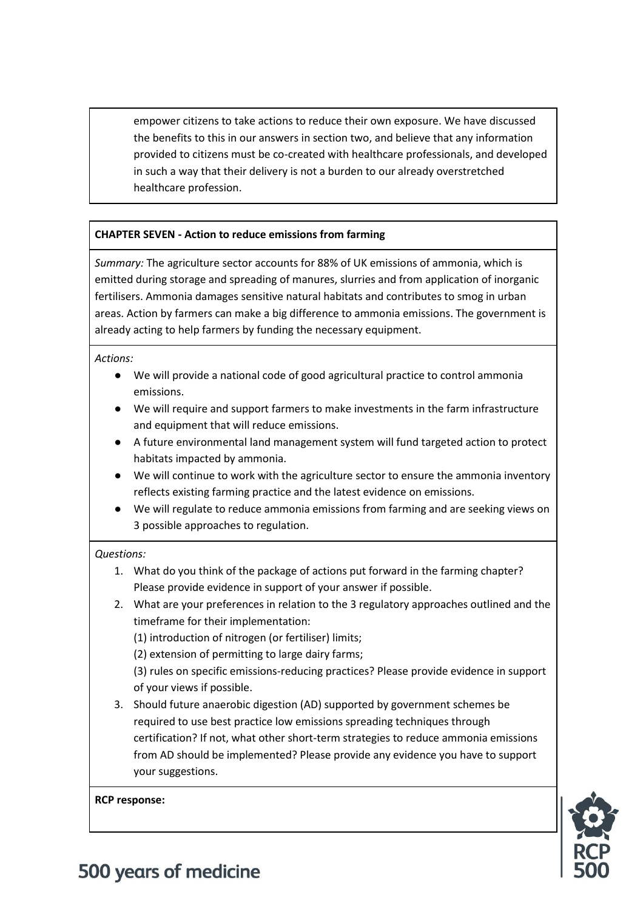empower citizens to take actions to reduce their own exposure. We have discussed the benefits to this in our answers in section two, and believe that any information provided to citizens must be co-created with healthcare professionals, and developed in such a way that their delivery is not a burden to our already overstretched healthcare profession.

### **CHAPTER SEVEN - Action to reduce emissions from farming**

*Summary:* The agriculture sector accounts for 88% of UK emissions of ammonia, which is emitted during storage and spreading of manures, slurries and from application of inorganic fertilisers. Ammonia damages sensitive natural habitats and contributes to smog in urban areas. Action by farmers can make a big difference to ammonia emissions. The government is already acting to help farmers by funding the necessary equipment.

*Actions:* 

- We will provide a national code of good agricultural practice to control ammonia emissions.
- We will require and support farmers to make investments in the farm infrastructure and equipment that will reduce emissions.
- A future environmental land management system will fund targeted action to protect habitats impacted by ammonia.
- We will continue to work with the agriculture sector to ensure the ammonia inventory reflects existing farming practice and the latest evidence on emissions.
- We will regulate to reduce ammonia emissions from farming and are seeking views on 3 possible approaches to regulation.

### *Questions:*

- 1. What do you think of the package of actions put forward in the farming chapter? Please provide evidence in support of your answer if possible.
- 2. What are your preferences in relation to the 3 regulatory approaches outlined and the timeframe for their implementation:

(1) introduction of nitrogen (or fertiliser) limits;

(2) extension of permitting to large dairy farms;

(3) rules on specific emissions-reducing practices? Please provide evidence in support of your views if possible.

3. Should future anaerobic digestion (AD) supported by government schemes be required to use best practice low emissions spreading techniques through certification? If not, what other short-term strategies to reduce ammonia emissions from AD should be implemented? Please provide any evidence you have to support your suggestions.

**RCP response:**

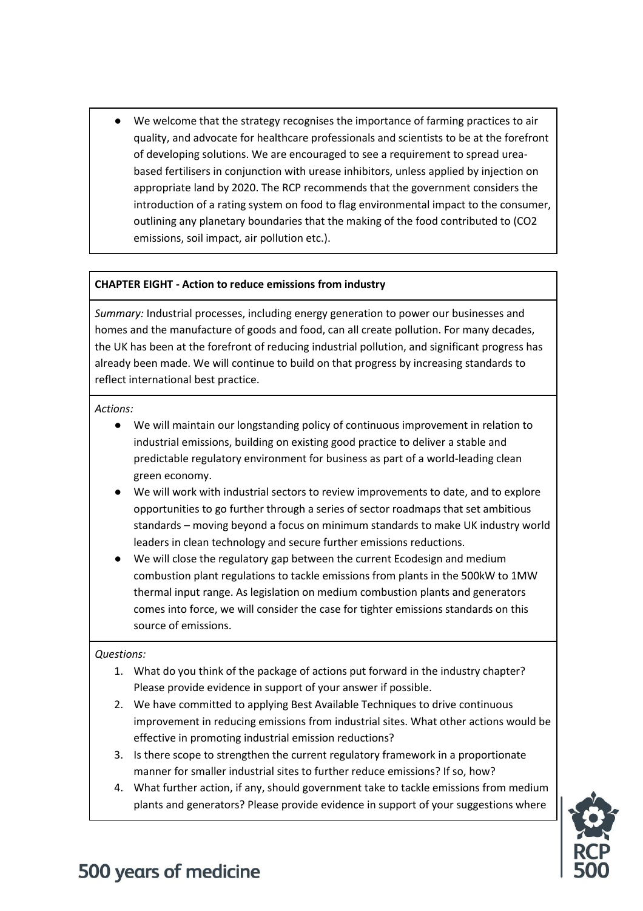● We welcome that the strategy recognises the importance of farming practices to air quality, and advocate for healthcare professionals and scientists to be at the forefront of developing solutions. We are encouraged to see a requirement to spread ureabased fertilisers in conjunction with urease inhibitors, unless applied by injection on appropriate land by 2020. The RCP recommends that the government considers the introduction of a rating system on food to flag environmental impact to the consumer, outlining any planetary boundaries that the making of the food contributed to (CO2 emissions, soil impact, air pollution etc.).

### **CHAPTER EIGHT - Action to reduce emissions from industry**

*Summary:* Industrial processes, including energy generation to power our businesses and homes and the manufacture of goods and food, can all create pollution. For many decades, the UK has been at the forefront of reducing industrial pollution, and significant progress has already been made. We will continue to build on that progress by increasing standards to reflect international best practice.

*Actions:* 

- We will maintain our longstanding policy of continuous improvement in relation to industrial emissions, building on existing good practice to deliver a stable and predictable regulatory environment for business as part of a world-leading clean green economy.
- We will work with industrial sectors to review improvements to date, and to explore opportunities to go further through a series of sector roadmaps that set ambitious standards – moving beyond a focus on minimum standards to make UK industry world leaders in clean technology and secure further emissions reductions.
- We will close the regulatory gap between the current Ecodesign and medium combustion plant regulations to tackle emissions from plants in the 500kW to 1MW thermal input range. As legislation on medium combustion plants and generators comes into force, we will consider the case for tighter emissions standards on this source of emissions.

### *Questions:*

- 1. What do you think of the package of actions put forward in the industry chapter? Please provide evidence in support of your answer if possible.
- 2. We have committed to applying Best Available Techniques to drive continuous improvement in reducing emissions from industrial sites. What other actions would be effective in promoting industrial emission reductions?
- 3. Is there scope to strengthen the current regulatory framework in a proportionate manner for smaller industrial sites to further reduce emissions? If so, how?
- 4. What further action, if any, should government take to tackle emissions from medium plants and generators? Please provide evidence in support of your suggestions where

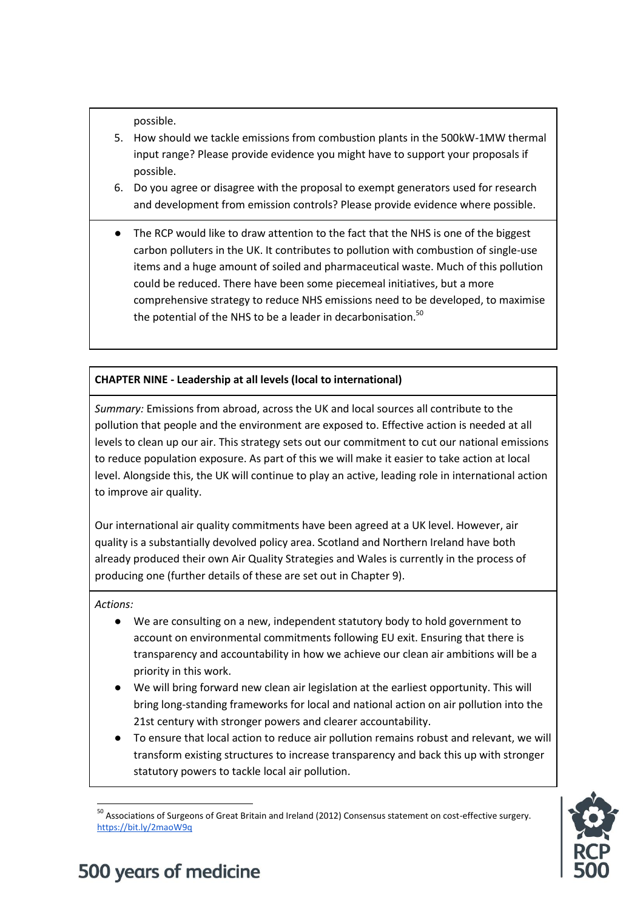possible.

- 5. How should we tackle emissions from combustion plants in the 500kW-1MW thermal input range? Please provide evidence you might have to support your proposals if possible.
- 6. Do you agree or disagree with the proposal to exempt generators used for research and development from emission controls? Please provide evidence where possible.
- The RCP would like to draw attention to the fact that the NHS is one of the biggest carbon polluters in the UK. It contributes to pollution with combustion of single-use items and a huge amount of soiled and pharmaceutical waste. Much of this pollution could be reduced. There have been some piecemeal initiatives, but a more comprehensive strategy to reduce NHS emissions need to be developed, to maximise the potential of the NHS to be a leader in decarbonisation.<sup>50</sup>

### **CHAPTER NINE - Leadership at all levels (local to international)**

*Summary:* Emissions from abroad, across the UK and local sources all contribute to the pollution that people and the environment are exposed to. Effective action is needed at all levels to clean up our air. This strategy sets out our commitment to cut our national emissions to reduce population exposure. As part of this we will make it easier to take action at local level. Alongside this, the UK will continue to play an active, leading role in international action to improve air quality.

Our international air quality commitments have been agreed at a UK level. However, air quality is a substantially devolved policy area. Scotland and Northern Ireland have both already produced their own Air Quality Strategies and Wales is currently in the process of producing one (further details of these are set out in Chapter 9).

*Actions:* 

- We are consulting on a new, independent statutory body to hold government to account on environmental commitments following EU exit. Ensuring that there is transparency and accountability in how we achieve our clean air ambitions will be a priority in this work.
- We will bring forward new clean air legislation at the earliest opportunity. This will bring long-standing frameworks for local and national action on air pollution into the 21st century with stronger powers and clearer accountability.
- To ensure that local action to reduce air pollution remains robust and relevant, we will transform existing structures to increase transparency and back this up with stronger statutory powers to tackle local air pollution.

 $\overline{\phantom{a}}$ <sup>50</sup> Associations of Surgeons of Great Britain and Ireland (2012) Consensus statement on cost-effective surgery. <https://bit.ly/2maoW9q>

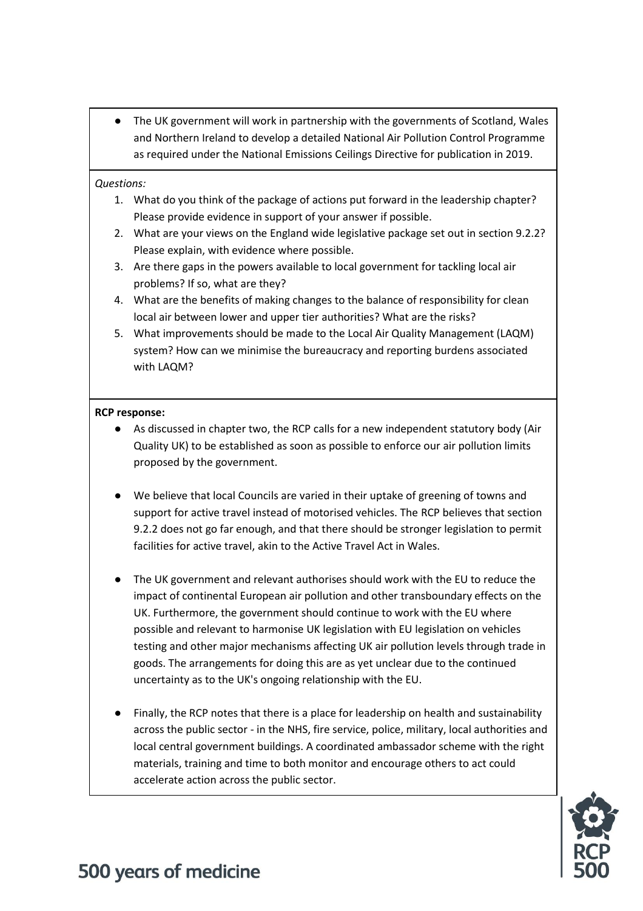● The UK government will work in partnership with the governments of Scotland, Wales and Northern Ireland to develop a detailed National Air Pollution Control Programme as required under the National Emissions Ceilings Directive for publication in 2019.

### *Questions:*

- 1. What do you think of the package of actions put forward in the leadership chapter? Please provide evidence in support of your answer if possible.
- 2. What are your views on the England wide legislative package set out in section 9.2.2? Please explain, with evidence where possible.
- 3. Are there gaps in the powers available to local government for tackling local air problems? If so, what are they?
- 4. What are the benefits of making changes to the balance of responsibility for clean local air between lower and upper tier authorities? What are the risks?
- 5. What improvements should be made to the Local Air Quality Management (LAQM) system? How can we minimise the bureaucracy and reporting burdens associated with LAQM?

### **RCP response:**

- As discussed in chapter two, the RCP calls for a new independent statutory body (Air Quality UK) to be established as soon as possible to enforce our air pollution limits proposed by the government.
- We believe that local Councils are varied in their uptake of greening of towns and support for active travel instead of motorised vehicles. The RCP believes that section 9.2.2 does not go far enough, and that there should be stronger legislation to permit facilities for active travel, akin to the Active Travel Act in Wales.
- The UK government and relevant authorises should work with the EU to reduce the impact of continental European air pollution and other transboundary effects on the UK. Furthermore, the government should continue to work with the EU where possible and relevant to harmonise UK legislation with EU legislation on vehicles testing and other major mechanisms affecting UK air pollution levels through trade in goods. The arrangements for doing this are as yet unclear due to the continued uncertainty as to the UK's ongoing relationship with the EU.
- Finally, the RCP notes that there is a place for leadership on health and sustainability across the public sector - in the NHS, fire service, police, military, local authorities and local central government buildings. A coordinated ambassador scheme with the right materials, training and time to both monitor and encourage others to act could accelerate action across the public sector.